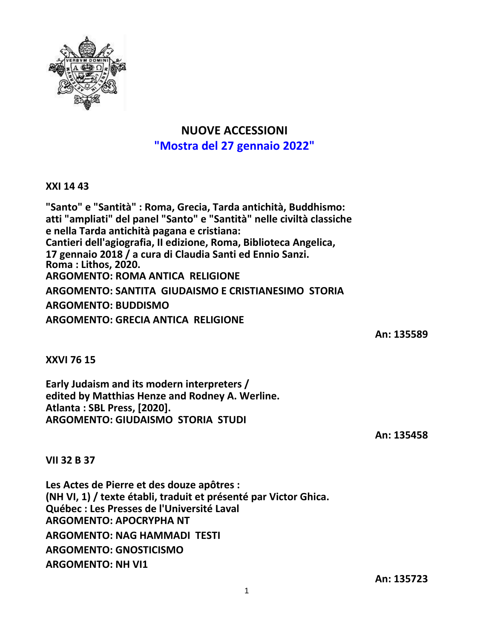

## **NUOVE ACCESSIONI "Mostra del 27 gennaio 2022"**

**XXI 14 43**

**"Santo" e "Santità" : Roma, Grecia, Tarda antichità, Buddhismo: atti "ampliati" del panel "Santo" e "Santità" nelle civiltà classiche e nella Tarda antichità pagana e cristiana: Cantieri dell'agiografia, II edizione, Roma, Biblioteca Angelica, 17 gennaio 2018 / a cura di Claudia Santi ed Ennio Sanzi. Roma : Lithos, 2020. ARGOMENTO: ROMA ANTICA RELIGIONE ARGOMENTO: SANTITA GIUDAISMO E CRISTIANESIMO STORIA ARGOMENTO: BUDDISMO ARGOMENTO: GRECIA ANTICA RELIGIONE**

**An: 135589**

**XXVI 76 15**

**Early Judaism and its modern interpreters / edited by Matthias Henze and Rodney A. Werline. Atlanta : SBL Press, [2020]. ARGOMENTO: GIUDAISMO STORIA STUDI**

**An: 135458**

**VII 32 B 37**

**Les Actes de Pierre et des douze apôtres : (NH VI, 1) / texte établi, traduit et présenté par Victor Ghica. Québec : Les Presses de l'Université Laval ARGOMENTO: APOCRYPHA NT ARGOMENTO: NAG HAMMADI TESTI ARGOMENTO: GNOSTICISMO ARGOMENTO: NH VI1**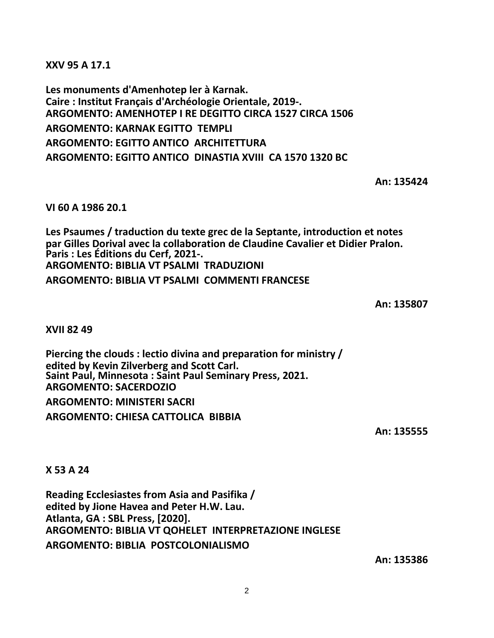**XXV 95 A 17.1**

**Les monuments d'Amenhotep ler à Karnak. Caire : Institut Français d'Archéologie Orientale, 2019-. ARGOMENTO: AMENHOTEP I RE DEGITTO CIRCA 1527 CIRCA 1506 ARGOMENTO: KARNAK EGITTO TEMPLI ARGOMENTO: EGITTO ANTICO ARCHITETTURA ARGOMENTO: EGITTO ANTICO DINASTIA XVIII CA 1570 1320 BC**

**An: 135424**

**VI 60 A 1986 20.1**

**Les Psaumes / traduction du texte grec de la Septante, introduction et notes par Gilles Dorival avec la collaboration de Claudine Cavalier et Didier Pralon. Paris : Les Éditions du Cerf, 2021-. ARGOMENTO: BIBLIA VT PSALMI TRADUZIONI ARGOMENTO: BIBLIA VT PSALMI COMMENTI FRANCESE**

**An: 135807**

**XVII 82 49**

**Piercing the clouds : lectio divina and preparation for ministry / edited by Kevin Zilverberg and Scott Carl. Saint Paul, Minnesota : Saint Paul Seminary Press, 2021. ARGOMENTO: SACERDOZIO**

**ARGOMENTO: MINISTERI SACRI ARGOMENTO: CHIESA CATTOLICA BIBBIA**

**An: 135555**

**X 53 A 24**

**Reading Ecclesiastes from Asia and Pasifika / edited by Jione Havea and Peter H.W. Lau. Atlanta, GA : SBL Press, [2020]. ARGOMENTO: BIBLIA VT QOHELET INTERPRETAZIONE INGLESE ARGOMENTO: BIBLIA POSTCOLONIALISMO**

**An: 135386**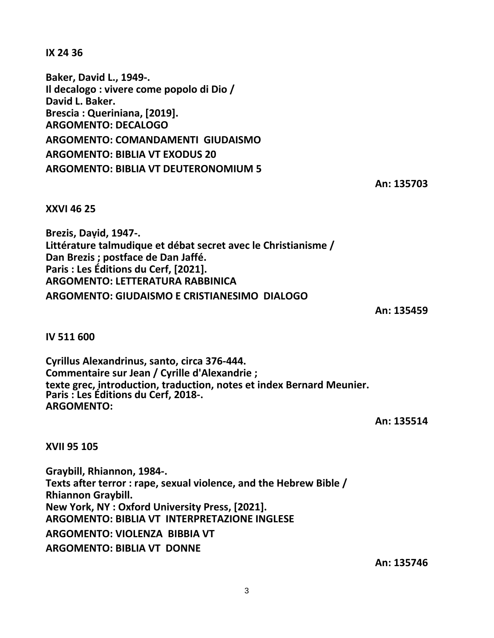**IX 24 36**

**Baker, David L., 1949-. Il decalogo : vivere come popolo di Dio / David L. Baker. Brescia : Queriniana, [2019]. ARGOMENTO: DECALOGO ARGOMENTO: COMANDAMENTI GIUDAISMO ARGOMENTO: BIBLIA VT EXODUS 20 ARGOMENTO: BIBLIA VT DEUTERONOMIUM 5**

**An: 135703**

**XXVI 46 25**

**Brezis, Daṿid, 1947-. Littérature talmudique et débat secret avec le Christianisme / Dan Brezis ; postface de Dan Jaffé. Paris : Les Éditions du Cerf, [2021]. ARGOMENTO: LETTERATURA RABBINICA ARGOMENTO: GIUDAISMO E CRISTIANESIMO DIALOGO**

**An: 135459**

**IV 511 600**

**Cyrillus Alexandrinus, santo, circa 376-444. Commentaire sur Jean / Cyrille d'Alexandrie ; texte grec, introduction, traduction, notes et index Bernard Meunier. Paris : Les Éditions du Cerf, 2018-. ARGOMENTO:**

**An: 135514**

**XVII 95 105**

**Graybill, Rhiannon, 1984-. Texts after terror : rape, sexual violence, and the Hebrew Bible / Rhiannon Graybill. New York, NY : Oxford University Press, [2021]. ARGOMENTO: BIBLIA VT INTERPRETAZIONE INGLESE ARGOMENTO: VIOLENZA BIBBIA VT ARGOMENTO: BIBLIA VT DONNE**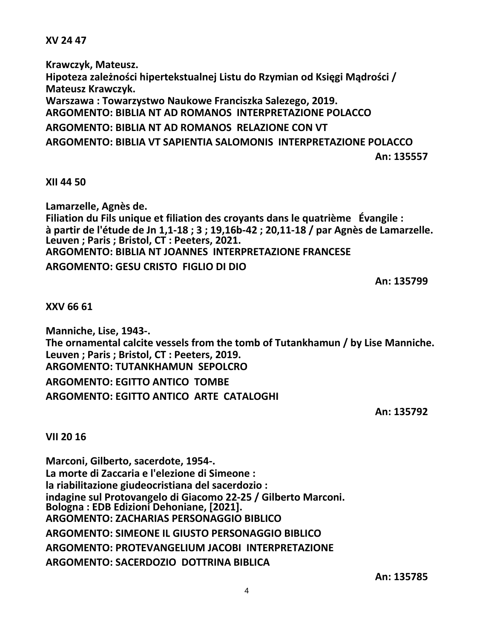**XV 24 47**

**Krawczyk, Mateusz. Hipoteza zależności hipertekstualnej Listu do Rzymian od Księgi Mądrości / Mateusz Krawczyk. Warszawa : Towarzystwo Naukowe Franciszka Salezego, 2019. ARGOMENTO: BIBLIA NT AD ROMANOS INTERPRETAZIONE POLACCO ARGOMENTO: BIBLIA NT AD ROMANOS RELAZIONE CON VT ARGOMENTO: BIBLIA VT SAPIENTIA SALOMONIS INTERPRETAZIONE POLACCO An: 135557**

**XII 44 50**

**Lamarzelle, Agnès de. Filiation du Fils unique et filiation des croyants dans le quatrième Évangile :** à partir de l'étude de Jn 1,1-18 ; 3 ; 19,16b-42 ; 20,11-18 / par Agnès de Lamarzelle. **Leuven ; Paris ; Bristol, CT : Peeters, 2021. ARGOMENTO: BIBLIA NT JOANNES INTERPRETAZIONE FRANCESE ARGOMENTO: GESU CRISTO FIGLIO DI DIO**

**An: 135799**

**XXV 66 61**

**Manniche, Lise, 1943-. The ornamental calcite vessels from the tomb of Tutankhamun / by Lise Manniche. Leuven ; Paris ; Bristol, CT : Peeters, 2019. ARGOMENTO: TUTANKHAMUN SEPOLCRO ARGOMENTO: EGITTO ANTICO TOMBE ARGOMENTO: EGITTO ANTICO ARTE CATALOGHI**

**An: 135792**

**VII 20 16**

**Marconi, Gilberto, sacerdote, 1954-. La morte di Zaccaria e l'elezione di Simeone : la riabilitazione giudeocristiana del sacerdozio : indagine sul Protovangelo di Giacomo 22-25 / Gilberto Marconi. Bologna : EDB Edizioni Dehoniane, [2021]. ARGOMENTO: ZACHARIAS PERSONAGGIO BIBLICO ARGOMENTO: SIMEONE IL GIUSTO PERSONAGGIO BIBLICO ARGOMENTO: PROTEVANGELIUM JACOBI INTERPRETAZIONE ARGOMENTO: SACERDOZIO DOTTRINA BIBLICA**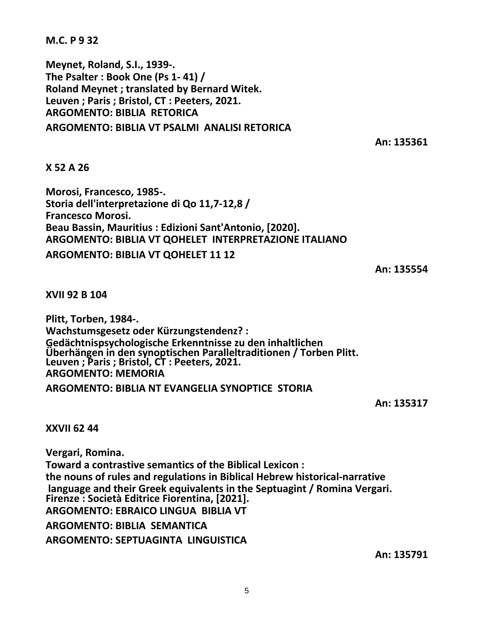**M.C. P 9 32**

**Meynet, Roland, S.I., 1939-. The Psalter : Book One (Ps 1- 41) / Roland Meynet ; translated by Bernard Witek. Leuven ; Paris ; Bristol, CT : Peeters, 2021. ARGOMENTO: BIBLIA RETORICA ARGOMENTO: BIBLIA VT PSALMI ANALISI RETORICA**

**An: 135361**

## **X 52 A 26**

**Morosi, Francesco, 1985-. Storia dell'interpretazione di Qo 11,7-12,8 / Francesco Morosi. Beau Bassin, Mauritius : Edizioni Sant'Antonio, [2020]. ARGOMENTO: BIBLIA VT QOHELET INTERPRETAZIONE ITALIANO ARGOMENTO: BIBLIA VT QOHELET 11 12**

**An: 135554**

**XVII 92 B 104**

**Plitt, Torben, 1984-. Wachstumsgesetz oder Kürzungstendenz? : Gedächtnispsychologische Erkenntnisse zu den inhaltlichen Überhängen in den synoptischen Paralleltraditionen / Torben Plitt. Leuven ; Paris ; Bristol, CT : Peeters, 2021. ARGOMENTO: MEMORIA**

**ARGOMENTO: BIBLIA NT EVANGELIA SYNOPTICE STORIA**

**An: 135317**

## **XXVII 62 44**

**Vergari, Romina. Toward a contrastive semantics of the Biblical Lexicon : the nouns of rules and regulations in Biblical Hebrew historical-narrative language and their Greek equivalents in the Septuagint / Romina Vergari. Firenze : Società Editrice Fiorentina, [2021]. ARGOMENTO: EBRAICO LINGUA BIBLIA VT ARGOMENTO: BIBLIA SEMANTICA ARGOMENTO: SEPTUAGINTA LINGUISTICA**

**An: 135791**